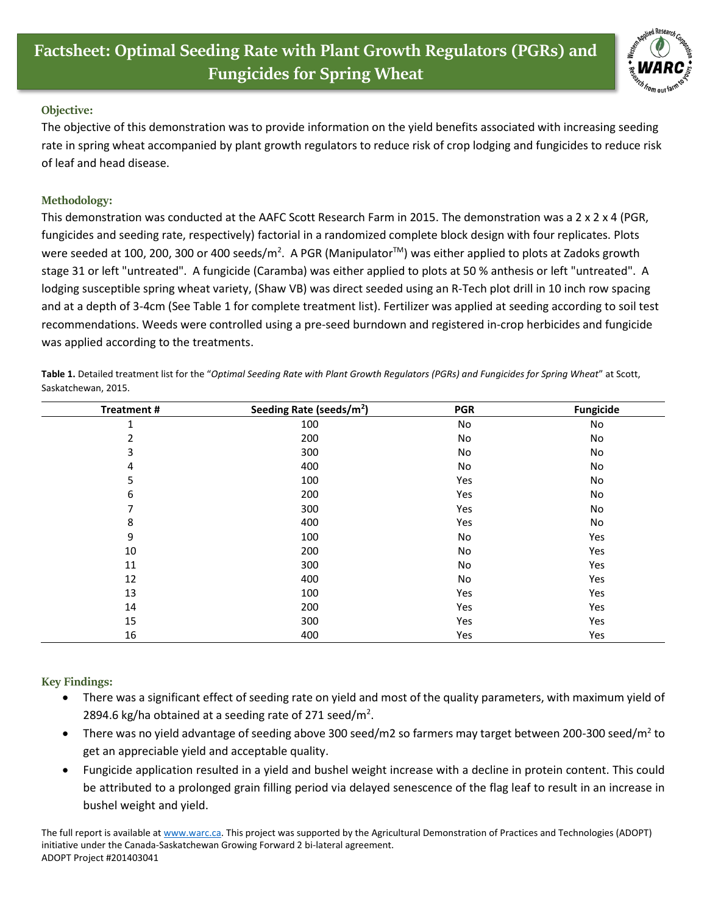

## **Objective:**

The objective of this demonstration was to provide information on the yield benefits associated with increasing seeding rate in spring wheat accompanied by plant growth regulators to reduce risk of crop lodging and fungicides to reduce risk of leaf and head disease.

## **Methodology:**

This demonstration was conducted at the AAFC Scott Research Farm in 2015. The demonstration was a 2 x 2 x 4 (PGR, fungicides and seeding rate, respectively) factorial in a randomized complete block design with four replicates. Plots were seeded at 100, 200, 300 or 400 seeds/m<sup>2</sup>. A PGR (Manipulator™) was either applied to plots at Zadoks growth stage 31 or left "untreated". A fungicide (Caramba) was either applied to plots at 50 % anthesis or left "untreated". A lodging susceptible spring wheat variety, (Shaw VB) was direct seeded using an R-Tech plot drill in 10 inch row spacing and at a depth of 3-4cm (See Table 1 for complete treatment list). Fertilizer was applied at seeding according to soil test recommendations. Weeds were controlled using a pre-seed burndown and registered in-crop herbicides and fungicide was applied according to the treatments.

**Table 1.** Detailed treatment list for the "*Optimal Seeding Rate with Plant Growth Regulators (PGRs) and Fungicides for Spring Wheat*" at Scott, Saskatchewan, 2015.

| <b>Treatment#</b> | Seeding Rate (seeds/m <sup>2</sup> ) | <b>PGR</b> | <b>Fungicide</b> |
|-------------------|--------------------------------------|------------|------------------|
| 1                 | 100                                  | No         | No               |
| 2                 | 200                                  | No         | No               |
| 3                 | 300                                  | No         | No               |
| 4                 | 400                                  | No         | No               |
| 5                 | 100                                  | Yes        | No               |
| 6                 | 200                                  | Yes        | No               |
| 7                 | 300                                  | Yes        | No               |
| 8                 | 400                                  | Yes        | No               |
| 9                 | 100                                  | No         | Yes              |
| 10                | 200                                  | No         | Yes              |
| 11                | 300                                  | No         | Yes              |
| 12                | 400                                  | No         | Yes              |
| 13                | 100                                  | Yes        | Yes              |
| 14                | 200                                  | Yes        | Yes              |
| 15                | 300                                  | Yes        | Yes              |
| 16                | 400                                  | Yes        | Yes              |

## **Key Findings:**

- There was a significant effect of seeding rate on yield and most of the quality parameters, with maximum yield of 2894.6 kg/ha obtained at a seeding rate of 271 seed/m<sup>2</sup>.
- There was no yield advantage of seeding above 300 seed/m2 so farmers may target between 200-300 seed/m<sup>2</sup> to get an appreciable yield and acceptable quality.
- Fungicide application resulted in a yield and bushel weight increase with a decline in protein content. This could be attributed to a prolonged grain filling period via delayed senescence of the flag leaf to result in an increase in bushel weight and yield.

The full report is available at [www.warc.ca.](http://www.warc.ca/) This project was supported by the Agricultural Demonstration of Practices and Technologies (ADOPT) initiative under the Canada-Saskatchewan Growing Forward 2 bi-lateral agreement. ADOPT Project #201403041